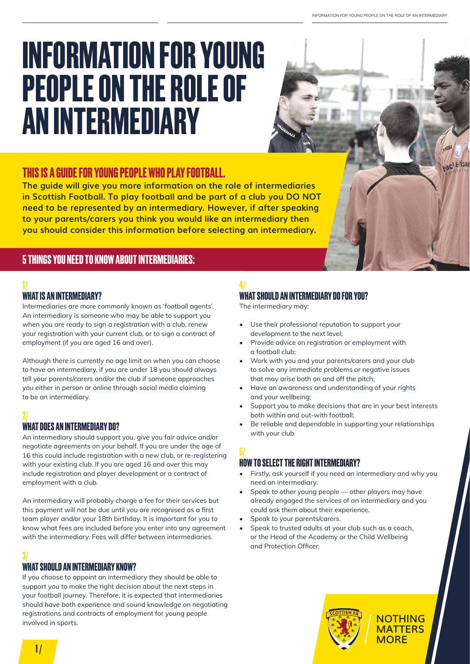acl &lizar

# **INFORMATION FOR YOUNG PEOPLE ON THE ROLE OF AN INTERMEDIARY**

## **THIS IS A GUIDE FOR YOUNG PEOPLE WHO PLAY FOOTBALL.**

**The guide will give you more information on the role of intermediaries in Scottish Football. To play football and be part of a club you DO NOT need to be represented by an intermediary. However, if after speaking to your parents/carers you think you would like an intermediary then you should consider this information before selecting an intermediary.** 

### **5 THINGS YOU NEED TO KNOW ABOUT INTERMEDIARIES:**

#### **1/**

#### **WHAT IS AN INTERMEDIARY?**

Intermediaries are more commonly known as 'football agents'. An intermediary is someone who may be able to support you when you are ready to sign a registration with a club, renew your registration with your current club, or to sign a contract of employment (if you are aged 16 and over).

Although there is currently no age limit on when you can choose to have an intermediary, if you are under 18 you should always tell your parents/carers and/or the club if someone approaches you either in person or online through social media claiming to be an intermediary.

#### **2/**

#### **WHAT DOES AN INTERMEDIARY DO?**

An intermediary should support you, give you fair advice and/or negotiate agreements on your behalf. If you are under the age of 16 this could include registration with a new club, or re-registering with your existing club. If you are aged 16 and over this may include registration and player development or a contract of employment with a club.

An intermediary will probably charge a fee for their services but this payment will not be due until you are recognised as a first team player and/or your 18th birthday. It is important for you to know what fees are included before you enter into any agreement with the intermediary. Fees will differ between intermediaries.

#### **3/**

#### **WHAT SHOULD AN INTERMEDIARY KNOW?**

If you choose to appoint an intermediary they should be able to support you to make the right decision about the next steps in your football journey. Therefore, it is expected that intermediaries should have both experience and sound knowledge on negotiating registrations and contracts of employment for young people involved in sports.

# **4/**

#### **WHAT SHOULD AN INTERMEDIARY DO FOR YOU?**

The intermediary may:

- Use their professional reputation to support your development to the next level;
- Provide advice on registration or employment with a football club;
- Work with you and your parents/carers and your club to solve any immediate problems or negative issues that may arise both on and off the pitch;
- Have an awareness and understanding of your rights and your wellbeing;
- Support you to make decisions that are in your best interests both within and out-with football;
- Be reliable and dependable in supporting your relationships with your club.

#### **5/**

#### **HOW TO SELECT THE RIGHT INTERMEDIARY?**

- Firstly, ask yourself if you need an intermediary and why you need an intermediary.
- Speak to other young people other players may have already engaged the services of an intermediary and you could ask them about their experience.
- Speak to your parents/carers.
- Speak to trusted adults at your club such as a coach, or the Head of the Academy or the Child Wellbeing and Protection Officer.



**1 /**